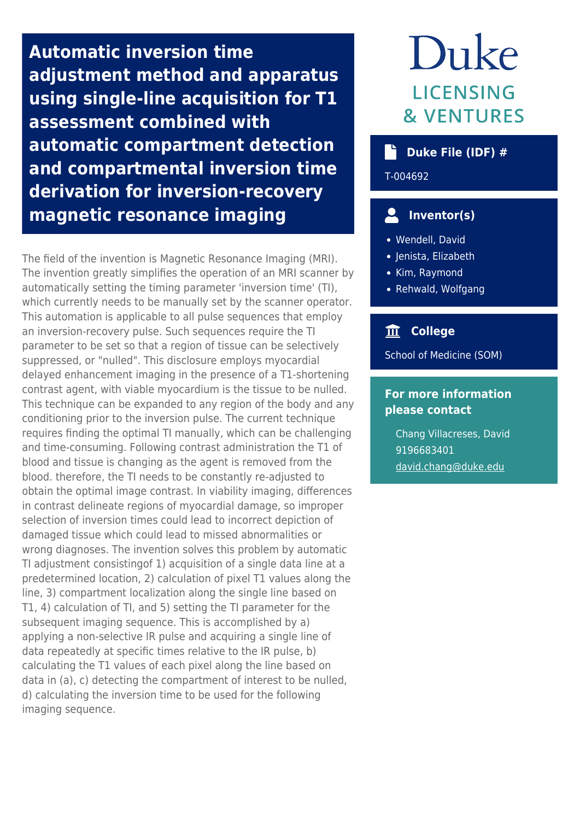**Automatic inversion time adjustment method and apparatus using single-line acquisition for T1 assessment combined with automatic compartment detection and compartmental inversion time derivation for inversion-recovery magnetic resonance imaging**

The field of the invention is Magnetic Resonance Imaging (MRI). The invention greatly simplifies the operation of an MRI scanner by automatically setting the timing parameter 'inversion time' (TI), which currently needs to be manually set by the scanner operator. This automation is applicable to all pulse sequences that employ an inversion-recovery pulse. Such sequences require the TI parameter to be set so that a region of tissue can be selectively suppressed, or "nulled". This disclosure employs myocardial delayed enhancement imaging in the presence of a T1-shortening contrast agent, with viable myocardium is the tissue to be nulled. This technique can be expanded to any region of the body and any conditioning prior to the inversion pulse. The current technique requires finding the optimal TI manually, which can be challenging and time-consuming. Following contrast administration the T1 of blood and tissue is changing as the agent is removed from the blood. therefore, the TI needs to be constantly re-adjusted to obtain the optimal image contrast. In viability imaging, differences in contrast delineate regions of myocardial damage, so improper selection of inversion times could lead to incorrect depiction of damaged tissue which could lead to missed abnormalities or wrong diagnoses. The invention solves this problem by automatic TI adjustment consistingof 1) acquisition of a single data line at a predetermined location, 2) calculation of pixel T1 values along the line, 3) compartment localization along the single line based on T1, 4) calculation of TI, and 5) setting the TI parameter for the subsequent imaging sequence. This is accomplished by a) applying a non-selective IR pulse and acquiring a single line of data repeatedly at specific times relative to the IR pulse, b) calculating the T1 values of each pixel along the line based on data in (a), c) detecting the compartment of interest to be nulled, d) calculating the inversion time to be used for the following imaging sequence.

# Duke **LICENSING & VENTURES**

#### **Duke File (IDF) #**

T-004692

## **Inventor(s)**

- Wendell, David
- Jenista, Elizabeth
- Kim, Raymond
- Rehwald, Wolfgang

### **College**

School of Medicine (SOM)

#### **For more information please contact**

Chang Villacreses, David 9196683401 [david.chang@duke.edu](mailto:david.chang@duke.edu)